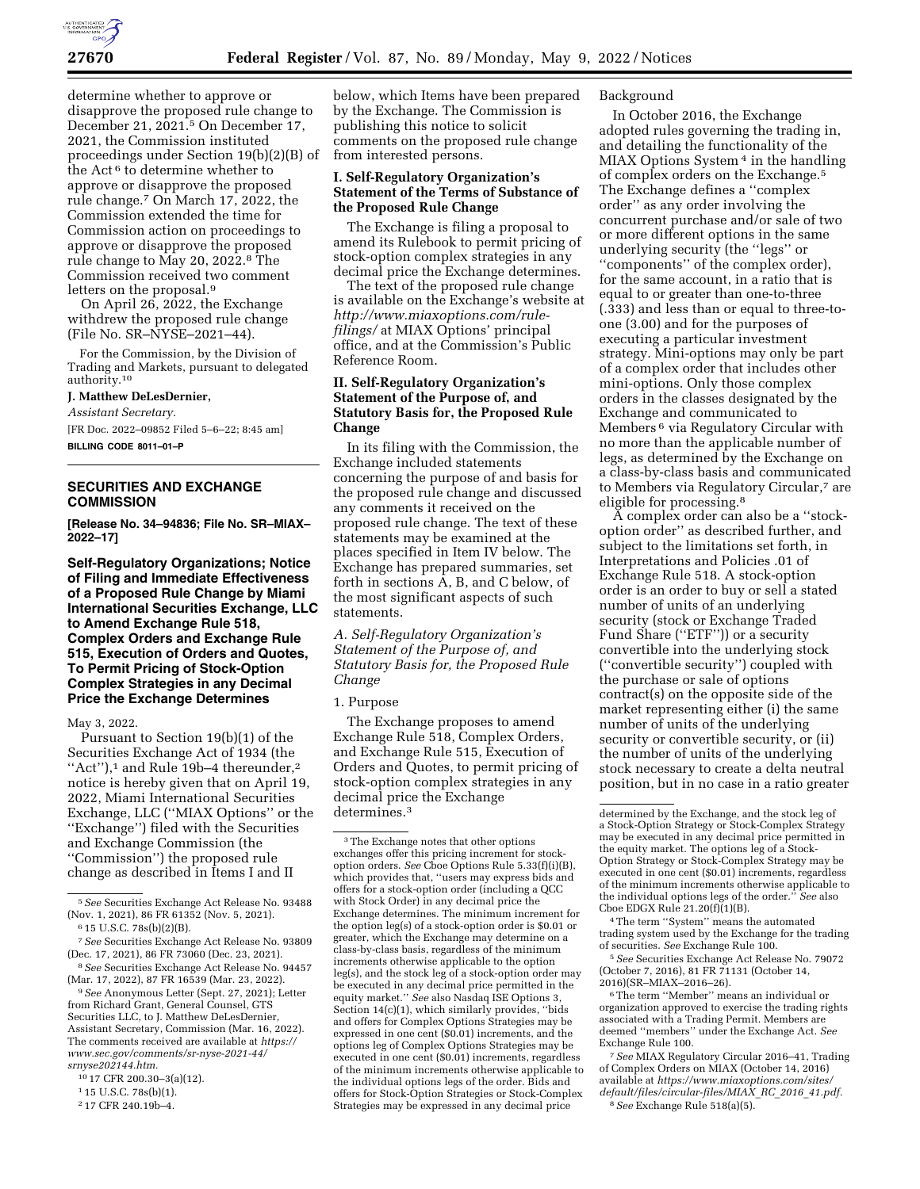

determine whether to approve or disapprove the proposed rule change to December 21, 2021.5 On December 17, 2021, the Commission instituted proceedings under Section 19(b)(2)(B) of the Act<sup>6</sup> to determine whether to approve or disapprove the proposed rule change.7 On March 17, 2022, the Commission extended the time for Commission action on proceedings to approve or disapprove the proposed rule change to May 20, 2022.8 The Commission received two comment letters on the proposal.9

On April 26, 2022, the Exchange withdrew the proposed rule change (File No. SR–NYSE–2021–44).

For the Commission, by the Division of Trading and Markets, pursuant to delegated authority.10

**J. Matthew DeLesDernier,** 

*Assistant Secretary.* 

[FR Doc. 2022–09852 Filed 5–6–22; 8:45 am] **BILLING CODE 8011–01–P** 

# **SECURITIES AND EXCHANGE COMMISSION**

**[Release No. 34–94836; File No. SR–MIAX– 2022–17]** 

**Self-Regulatory Organizations; Notice of Filing and Immediate Effectiveness of a Proposed Rule Change by Miami International Securities Exchange, LLC to Amend Exchange Rule 518, Complex Orders and Exchange Rule 515, Execution of Orders and Quotes, To Permit Pricing of Stock-Option Complex Strategies in any Decimal Price the Exchange Determines** 

May 3, 2022.

Pursuant to Section 19(b)(1) of the Securities Exchange Act of 1934 (the "Act"),<sup>1</sup> and Rule 19b-4 thereunder,<sup>2</sup> notice is hereby given that on April 19, 2022, Miami International Securities Exchange, LLC (''MIAX Options'' or the ''Exchange'') filed with the Securities and Exchange Commission (the ''Commission'') the proposed rule change as described in Items I and II

(Mar. 17, 2022), 87 FR 16539 (Mar. 23, 2022). 9*See* Anonymous Letter (Sept. 27, 2021); Letter from Richard Grant, General Counsel, GTS Securities LLC, to J. Matthew DeLesDernier, Assistant Secretary, Commission (Mar. 16, 2022). The comments received are available at *[https://](https://www.sec.gov/comments/sr-nyse-2021-44/srnyse202144.htm)*

*[www.sec.gov/comments/sr-nyse-2021-44/](https://www.sec.gov/comments/sr-nyse-2021-44/srnyse202144.htm)  [srnyse202144.htm.](https://www.sec.gov/comments/sr-nyse-2021-44/srnyse202144.htm)* 

10 17 CFR 200.30–3(a)(12).

2 17 CFR 240.19b–4.

below, which Items have been prepared by the Exchange. The Commission is publishing this notice to solicit comments on the proposed rule change from interested persons.

### **I. Self-Regulatory Organization's Statement of the Terms of Substance of the Proposed Rule Change**

The Exchange is filing a proposal to amend its Rulebook to permit pricing of stock-option complex strategies in any decimal price the Exchange determines.

The text of the proposed rule change is available on the Exchange's website at *[http://www.miaxoptions.com/rule](http://www.miaxoptions.com/rule-filings/)[filings/](http://www.miaxoptions.com/rule-filings/)* at MIAX Options' principal office, and at the Commission's Public Reference Room.

# **II. Self-Regulatory Organization's Statement of the Purpose of, and Statutory Basis for, the Proposed Rule Change**

In its filing with the Commission, the Exchange included statements concerning the purpose of and basis for the proposed rule change and discussed any comments it received on the proposed rule change. The text of these statements may be examined at the places specified in Item IV below. The Exchange has prepared summaries, set forth in sections A, B, and C below, of the most significant aspects of such statements.

*A. Self-Regulatory Organization's Statement of the Purpose of, and Statutory Basis for, the Proposed Rule Change* 

1. Purpose

The Exchange proposes to amend Exchange Rule 518, Complex Orders, and Exchange Rule 515, Execution of Orders and Quotes, to permit pricing of stock-option complex strategies in any decimal price the Exchange determines.3

### Background

In October 2016, the Exchange adopted rules governing the trading in, and detailing the functionality of the MIAX Options System 4 in the handling of complex orders on the Exchange.5 The Exchange defines a ''complex order'' as any order involving the concurrent purchase and/or sale of two or more different options in the same underlying security (the ''legs'' or ''components'' of the complex order), for the same account, in a ratio that is equal to or greater than one-to-three (.333) and less than or equal to three-toone (3.00) and for the purposes of executing a particular investment strategy. Mini-options may only be part of a complex order that includes other mini-options. Only those complex orders in the classes designated by the Exchange and communicated to Members 6 via Regulatory Circular with no more than the applicable number of legs, as determined by the Exchange on a class-by-class basis and communicated to Members via Regulatory Circular,7 are eligible for processing.<sup>8</sup>

A complex order can also be a ''stockoption order'' as described further, and subject to the limitations set forth, in Interpretations and Policies .01 of Exchange Rule 518. A stock-option order is an order to buy or sell a stated number of units of an underlying security (stock or Exchange Traded Fund Share ("ETF")) or a security convertible into the underlying stock (''convertible security'') coupled with the purchase or sale of options contract(s) on the opposite side of the market representing either (i) the same number of units of the underlying security or convertible security, or (ii) the number of units of the underlying stock necessary to create a delta neutral position, but in no case in a ratio greater

4The term ''System'' means the automated trading system used by the Exchange for the trading of securities. *See* Exchange Rule 100.

5*See* Securities Exchange Act Release No. 79072 (October 7, 2016), 81 FR 71131 (October 14, 2016)(SR–MIAX–2016–26).

6The term ''Member'' means an individual or organization approved to exercise the trading rights associated with a Trading Permit. Members are deemed ''members'' under the Exchange Act. *See*  Exchange Rule 100.

7*See* MIAX Regulatory Circular 2016–41, Trading of Complex Orders on MIAX (October 14, 2016) available at *[https://www.miaxoptions.com/sites/](https://www.miaxoptions.com/sites/default/files/circular-files/MIAX_RC_2016_41.pdf)  [default/files/circular-files/MIAX](https://www.miaxoptions.com/sites/default/files/circular-files/MIAX_RC_2016_41.pdf)*\_*RC*\_*2016*\_*41.pdf.*  8*See* Exchange Rule 518(a)(5).

<sup>5</sup>*See* Securities Exchange Act Release No. 93488 (Nov. 1, 2021), 86 FR 61352 (Nov. 5, 2021). 6 15 U.S.C. 78s(b)(2)(B).

<sup>7</sup>*See* Securities Exchange Act Release No. 93809

<sup>(</sup>Dec. 17, 2021), 86 FR 73060 (Dec. 23, 2021). 8*See* Securities Exchange Act Release No. 94457

<sup>1</sup> 15 U.S.C. 78s(b)(1).

<sup>3</sup>The Exchange notes that other options exchanges offer this pricing increment for stockoption orders. *See* Cboe Options Rule 5.33(f)(i)(B), which provides that, ''users may express bids and offers for a stock-option order (including a QCC with Stock Order) in any decimal price the Exchange determines. The minimum increment for the option leg(s) of a stock-option order is \$0.01 or greater, which the Exchange may determine on a class-by-class basis, regardless of the minimum increments otherwise applicable to the option leg(s), and the stock leg of a stock-option order may be executed in any decimal price permitted in the equity market.'' *See* also Nasdaq ISE Options 3, Section 14(c)(1), which similarly provides, ''bids and offers for Complex Options Strategies may be expressed in one cent (\$0.01) increments, and the options leg of Complex Options Strategies may be executed in one cent (\$0.01) increments, regardless of the minimum increments otherwise applicable to the individual options legs of the order. Bids and offers for Stock-Option Strategies or Stock-Complex Strategies may be expressed in any decimal price

determined by the Exchange, and the stock leg of a Stock-Option Strategy or Stock-Complex Strategy may be executed in any decimal price permitted in the equity market. The options leg of a Stock-Option Strategy or Stock-Complex Strategy may be executed in one cent (\$0.01) increments, regardless of the minimum increments otherwise applicable to the individual options legs of the order.'' *See* also Cboe EDGX Rule 21.20(f)(1)(B).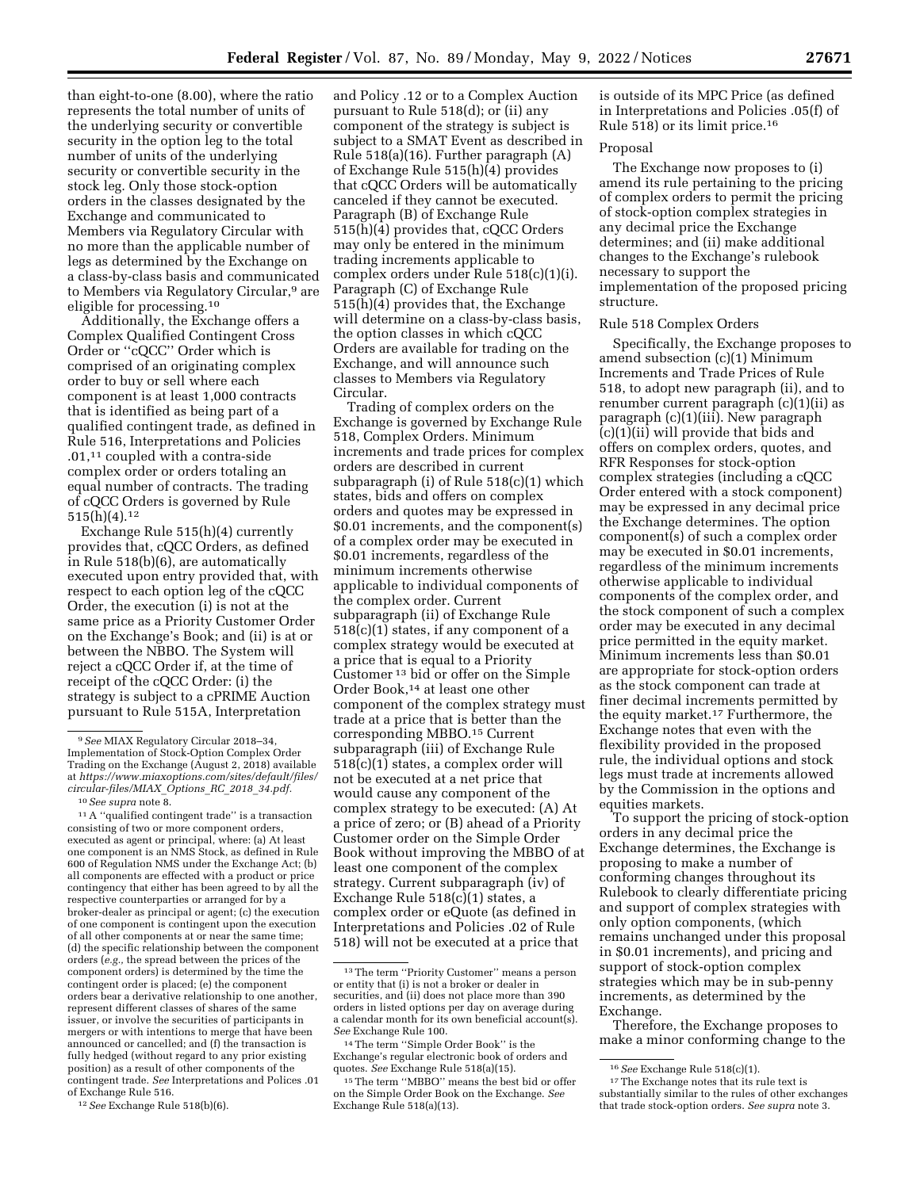than eight-to-one (8.00), where the ratio represents the total number of units of the underlying security or convertible security in the option leg to the total number of units of the underlying security or convertible security in the stock leg. Only those stock-option orders in the classes designated by the Exchange and communicated to Members via Regulatory Circular with no more than the applicable number of legs as determined by the Exchange on a class-by-class basis and communicated to Members via Regulatory Circular,9 are eligible for processing.10

Additionally, the Exchange offers a Complex Qualified Contingent Cross Order or ''cQCC'' Order which is comprised of an originating complex order to buy or sell where each component is at least 1,000 contracts that is identified as being part of a qualified contingent trade, as defined in Rule 516, Interpretations and Policies .01,11 coupled with a contra-side complex order or orders totaling an equal number of contracts. The trading of cQCC Orders is governed by Rule  $515(h)(4).12$ 

Exchange Rule 515(h)(4) currently provides that, cQCC Orders, as defined in Rule 518(b)(6), are automatically executed upon entry provided that, with respect to each option leg of the cQCC Order, the execution (i) is not at the same price as a Priority Customer Order on the Exchange's Book; and (ii) is at or between the NBBO. The System will reject a cQCC Order if, at the time of receipt of the cQCC Order: (i) the strategy is subject to a cPRIME Auction pursuant to Rule 515A, Interpretation

11A ''qualified contingent trade'' is a transaction consisting of two or more component orders, executed as agent or principal, where: (a) At least one component is an NMS Stock, as defined in Rule 600 of Regulation NMS under the Exchange Act; (b) all components are effected with a product or price contingency that either has been agreed to by all the respective counterparties or arranged for by a broker-dealer as principal or agent; (c) the execution of one component is contingent upon the execution of all other components at or near the same time; (d) the specific relationship between the component orders (*e.g.,* the spread between the prices of the component orders) is determined by the time the contingent order is placed; (e) the component orders bear a derivative relationship to one another, represent different classes of shares of the same issuer, or involve the securities of participants in mergers or with intentions to merge that have been announced or cancelled; and (f) the transaction is fully hedged (without regard to any prior existing position) as a result of other components of the contingent trade. *See* Interpretations and Polices .01 of Exchange Rule 516.

12*See* Exchange Rule 518(b)(6).

and Policy .12 or to a Complex Auction pursuant to Rule 518(d); or (ii) any component of the strategy is subject is subject to a SMAT Event as described in Rule 518(a)(16). Further paragraph (A) of Exchange Rule 515(h)(4) provides that cQCC Orders will be automatically canceled if they cannot be executed. Paragraph (B) of Exchange Rule 515(h)(4) provides that, cQCC Orders may only be entered in the minimum trading increments applicable to complex orders under Rule 518(c)(1)(i). Paragraph (C) of Exchange Rule 515(h)(4) provides that, the Exchange will determine on a class-by-class basis, the option classes in which cQCC Orders are available for trading on the Exchange, and will announce such classes to Members via Regulatory Circular.

Trading of complex orders on the Exchange is governed by Exchange Rule 518, Complex Orders. Minimum increments and trade prices for complex orders are described in current subparagraph (i) of Rule 518(c)(1) which states, bids and offers on complex orders and quotes may be expressed in \$0.01 increments, and the component(s) of a complex order may be executed in \$0.01 increments, regardless of the minimum increments otherwise applicable to individual components of the complex order. Current subparagraph (ii) of Exchange Rule 518(c)(1) states, if any component of a complex strategy would be executed at a price that is equal to a Priority Customer 13 bid or offer on the Simple Order Book,14 at least one other component of the complex strategy must trade at a price that is better than the corresponding MBBO.15 Current subparagraph (iii) of Exchange Rule 518(c)(1) states, a complex order will not be executed at a net price that would cause any component of the complex strategy to be executed: (A) At a price of zero; or (B) ahead of a Priority Customer order on the Simple Order Book without improving the MBBO of at least one component of the complex strategy. Current subparagraph (iv) of Exchange Rule 518(c)(1) states, a complex order or eQuote (as defined in Interpretations and Policies .02 of Rule 518) will not be executed at a price that

is outside of its MPC Price (as defined in Interpretations and Policies .05(f) of Rule 518) or its limit price.16

# Proposal

The Exchange now proposes to (i) amend its rule pertaining to the pricing of complex orders to permit the pricing of stock-option complex strategies in any decimal price the Exchange determines; and (ii) make additional changes to the Exchange's rulebook necessary to support the implementation of the proposed pricing structure.

#### Rule 518 Complex Orders

Specifically, the Exchange proposes to amend subsection (c)(1) Minimum Increments and Trade Prices of Rule 518, to adopt new paragraph (ii), and to renumber current paragraph (c)(1)(ii) as paragraph (c)(1)(iii). New paragraph (c)(1)(ii) will provide that bids and offers on complex orders, quotes, and RFR Responses for stock-option complex strategies (including a cQCC Order entered with a stock component) may be expressed in any decimal price the Exchange determines. The option component(s) of such a complex order may be executed in \$0.01 increments, regardless of the minimum increments otherwise applicable to individual components of the complex order, and the stock component of such a complex order may be executed in any decimal price permitted in the equity market. Minimum increments less than \$0.01 are appropriate for stock-option orders as the stock component can trade at finer decimal increments permitted by the equity market.17 Furthermore, the Exchange notes that even with the flexibility provided in the proposed rule, the individual options and stock legs must trade at increments allowed by the Commission in the options and equities markets.

To support the pricing of stock-option orders in any decimal price the Exchange determines, the Exchange is proposing to make a number of conforming changes throughout its Rulebook to clearly differentiate pricing and support of complex strategies with only option components, (which remains unchanged under this proposal in \$0.01 increments), and pricing and support of stock-option complex strategies which may be in sub-penny increments, as determined by the Exchange.

Therefore, the Exchange proposes to make a minor conforming change to the

<sup>9</sup>*See* MIAX Regulatory Circular 2018–34, Implementation of Stock-Option Complex Order Trading on the Exchange (August 2,  $2018$ ) available at *[https://www.miaxoptions.com/sites/default/files/](https://www.miaxoptions.com/sites/default/files/circular-files/MIAX_Options_RC_2018_34.pdf) [circular-files/MIAX](https://www.miaxoptions.com/sites/default/files/circular-files/MIAX_Options_RC_2018_34.pdf)*\_*Options*\_*RC*\_*2018*\_*34.pdf.* 

<sup>10</sup>*See supra* note 8.

<sup>13</sup>The term ''Priority Customer'' means a person or entity that (i) is not a broker or dealer in securities, and (ii) does not place more than 390 orders in listed options per day on average during a calendar month for its own beneficial account(s). *See* Exchange Rule 100.

<sup>14</sup>The term ''Simple Order Book'' is the Exchange's regular electronic book of orders and quotes. *See* Exchange Rule 518(a)(15).

<sup>15</sup>The term ''MBBO'' means the best bid or offer on the Simple Order Book on the Exchange. *See*  Exchange Rule 518(a)(13).

<sup>16</sup>*See* Exchange Rule 518(c)(1). 17The Exchange notes that its rule text is substantially similar to the rules of other exchanges that trade stock-option orders. *See supra* note 3.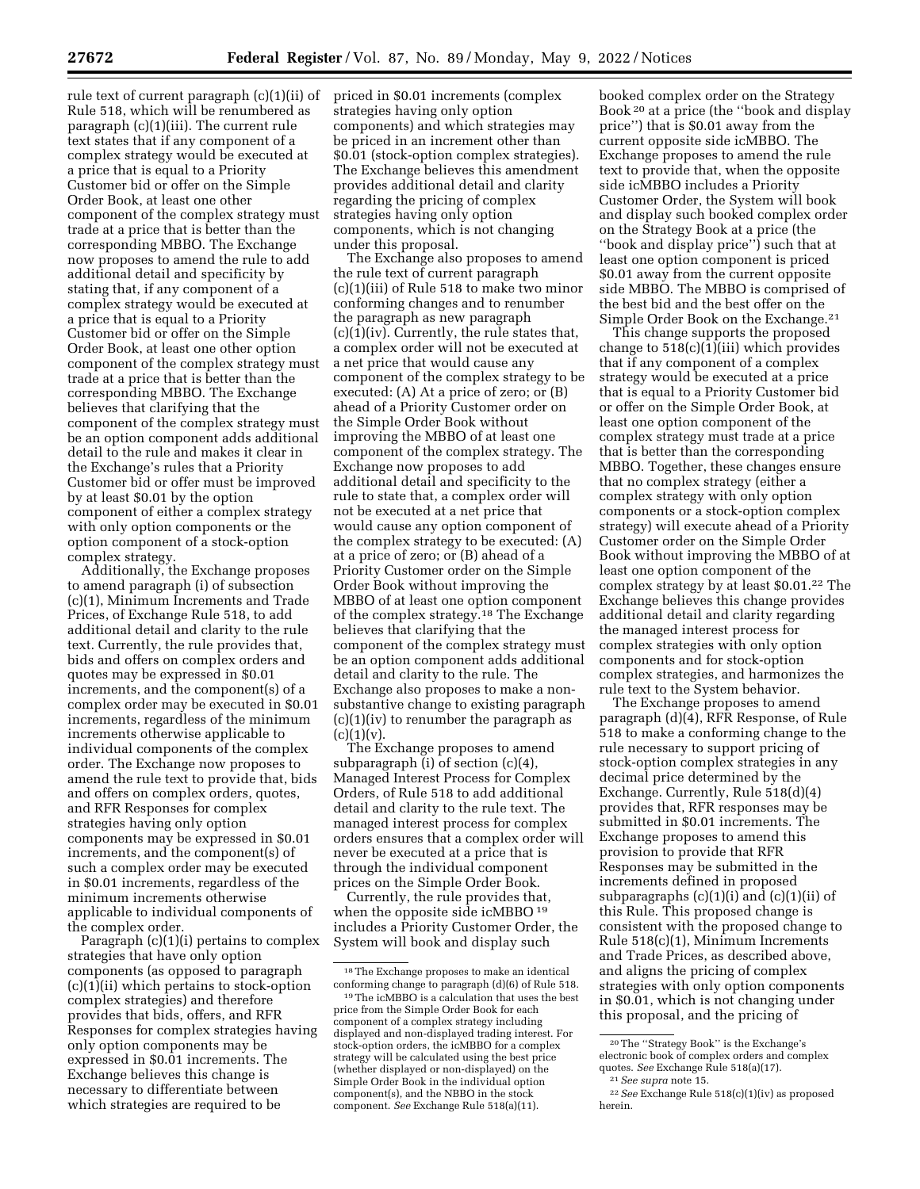rule text of current paragraph (c)(1)(ii) of Rule 518, which will be renumbered as paragraph (c)(1)(iii). The current rule text states that if any component of a complex strategy would be executed at a price that is equal to a Priority Customer bid or offer on the Simple Order Book, at least one other component of the complex strategy must trade at a price that is better than the corresponding MBBO. The Exchange now proposes to amend the rule to add additional detail and specificity by stating that, if any component of a complex strategy would be executed at a price that is equal to a Priority Customer bid or offer on the Simple Order Book, at least one other option component of the complex strategy must trade at a price that is better than the corresponding MBBO. The Exchange believes that clarifying that the component of the complex strategy must be an option component adds additional detail to the rule and makes it clear in the Exchange's rules that a Priority Customer bid or offer must be improved by at least \$0.01 by the option component of either a complex strategy with only option components or the option component of a stock-option complex strategy.

Additionally, the Exchange proposes to amend paragraph (i) of subsection (c)(1), Minimum Increments and Trade Prices, of Exchange Rule 518, to add additional detail and clarity to the rule text. Currently, the rule provides that, bids and offers on complex orders and quotes may be expressed in \$0.01 increments, and the component(s) of a complex order may be executed in \$0.01 increments, regardless of the minimum increments otherwise applicable to individual components of the complex order. The Exchange now proposes to amend the rule text to provide that, bids and offers on complex orders, quotes, and RFR Responses for complex strategies having only option components may be expressed in \$0.01 increments, and the component(s) of such a complex order may be executed in \$0.01 increments, regardless of the minimum increments otherwise applicable to individual components of the complex order.

Paragraph (c)(1)(i) pertains to complex strategies that have only option components (as opposed to paragraph (c)(1)(ii) which pertains to stock-option complex strategies) and therefore provides that bids, offers, and RFR Responses for complex strategies having only option components may be expressed in \$0.01 increments. The Exchange believes this change is necessary to differentiate between which strategies are required to be

priced in \$0.01 increments (complex strategies having only option components) and which strategies may be priced in an increment other than \$0.01 (stock-option complex strategies). The Exchange believes this amendment provides additional detail and clarity regarding the pricing of complex strategies having only option components, which is not changing under this proposal.

The Exchange also proposes to amend the rule text of current paragraph (c)(1)(iii) of Rule 518 to make two minor conforming changes and to renumber the paragraph as new paragraph (c)(1)(iv). Currently, the rule states that, a complex order will not be executed at a net price that would cause any component of the complex strategy to be executed: (A) At a price of zero; or (B) ahead of a Priority Customer order on the Simple Order Book without improving the MBBO of at least one component of the complex strategy. The Exchange now proposes to add additional detail and specificity to the rule to state that, a complex order will not be executed at a net price that would cause any option component of the complex strategy to be executed: (A) at a price of zero; or (B) ahead of a Priority Customer order on the Simple Order Book without improving the MBBO of at least one option component of the complex strategy.18 The Exchange believes that clarifying that the component of the complex strategy must be an option component adds additional detail and clarity to the rule. The Exchange also proposes to make a nonsubstantive change to existing paragraph (c)(1)(iv) to renumber the paragraph as  $(c)(1)(v).$ 

The Exchange proposes to amend subparagraph (i) of section (c)(4), Managed Interest Process for Complex Orders, of Rule 518 to add additional detail and clarity to the rule text. The managed interest process for complex orders ensures that a complex order will never be executed at a price that is through the individual component prices on the Simple Order Book.

Currently, the rule provides that, when the opposite side icMBBO<sup>19</sup> includes a Priority Customer Order, the System will book and display such

booked complex order on the Strategy Book 20 at a price (the ''book and display price'') that is \$0.01 away from the current opposite side icMBBO. The Exchange proposes to amend the rule text to provide that, when the opposite side icMBBO includes a Priority Customer Order, the System will book and display such booked complex order on the Strategy Book at a price (the ''book and display price'') such that at least one option component is priced \$0.01 away from the current opposite side MBBO. The MBBO is comprised of the best bid and the best offer on the Simple Order Book on the Exchange.21

This change supports the proposed change to 518(c)(1)(iii) which provides that if any component of a complex strategy would be executed at a price that is equal to a Priority Customer bid or offer on the Simple Order Book, at least one option component of the complex strategy must trade at a price that is better than the corresponding MBBO. Together, these changes ensure that no complex strategy (either a complex strategy with only option components or a stock-option complex strategy) will execute ahead of a Priority Customer order on the Simple Order Book without improving the MBBO of at least one option component of the complex strategy by at least \$0.01.22 The Exchange believes this change provides additional detail and clarity regarding the managed interest process for complex strategies with only option components and for stock-option complex strategies, and harmonizes the rule text to the System behavior.

The Exchange proposes to amend paragraph (d)(4), RFR Response, of Rule 518 to make a conforming change to the rule necessary to support pricing of stock-option complex strategies in any decimal price determined by the Exchange. Currently, Rule 518(d)(4) provides that, RFR responses may be submitted in \$0.01 increments. The Exchange proposes to amend this provision to provide that RFR Responses may be submitted in the increments defined in proposed subparagraphs (c)(1)(i) and (c)(1)(ii) of this Rule. This proposed change is consistent with the proposed change to Rule 518(c)(1), Minimum Increments and Trade Prices, as described above, and aligns the pricing of complex strategies with only option components in \$0.01, which is not changing under this proposal, and the pricing of

<sup>18</sup>The Exchange proposes to make an identical conforming change to paragraph (d)(6) of Rule 518.

<sup>19</sup>The icMBBO is a calculation that uses the best price from the Simple Order Book for each component of a complex strategy including displayed and non-displayed trading interest. For stock-option orders, the icMBBO for a complex strategy will be calculated using the best price (whether displayed or non-displayed) on the Simple Order Book in the individual option component(s), and the NBBO in the stock component. *See* Exchange Rule 518(a)(11).

<sup>20</sup>The ''Strategy Book'' is the Exchange's electronic book of complex orders and complex<br>quotes. *See* Exchange Rule 518(a)(17).<br><sup>21</sup> *See supra* note 15.<br><sup>22</sup> *See* Exchange Rule 518(c)(1)(iv) as proposed

herein.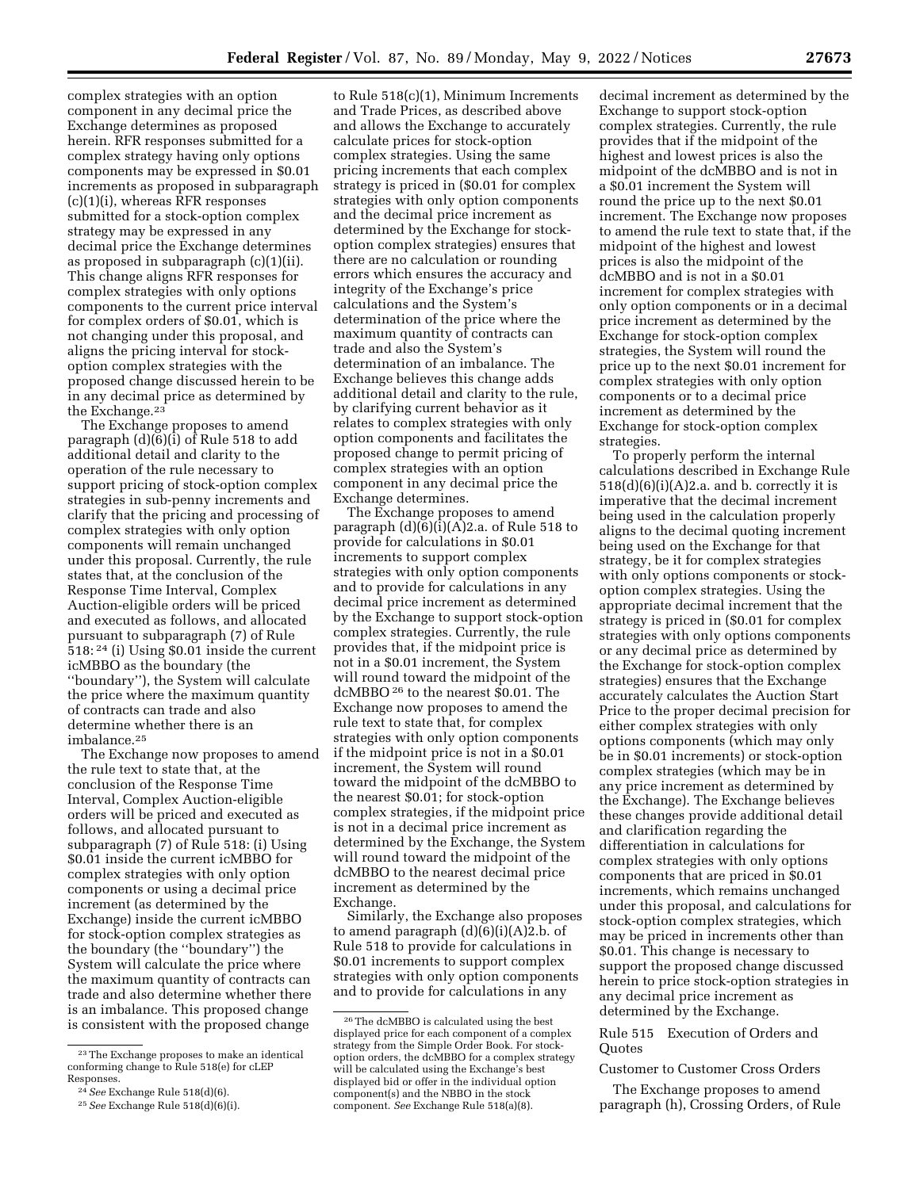complex strategies with an option component in any decimal price the Exchange determines as proposed herein. RFR responses submitted for a complex strategy having only options components may be expressed in \$0.01 increments as proposed in subparagraph (c)(1)(i), whereas RFR responses submitted for a stock-option complex strategy may be expressed in any decimal price the Exchange determines as proposed in subparagraph (c)(1)(ii). This change aligns RFR responses for complex strategies with only options components to the current price interval for complex orders of \$0.01, which is not changing under this proposal, and aligns the pricing interval for stockoption complex strategies with the proposed change discussed herein to be in any decimal price as determined by the Exchange.<sup>23</sup>

The Exchange proposes to amend paragraph (d)(6)(i) of Rule 518 to add additional detail and clarity to the operation of the rule necessary to support pricing of stock-option complex strategies in sub-penny increments and clarify that the pricing and processing of complex strategies with only option components will remain unchanged under this proposal. Currently, the rule states that, at the conclusion of the Response Time Interval, Complex Auction-eligible orders will be priced and executed as follows, and allocated pursuant to subparagraph (7) of Rule 518: 24 (i) Using \$0.01 inside the current icMBBO as the boundary (the ''boundary''), the System will calculate the price where the maximum quantity of contracts can trade and also determine whether there is an imbalance.25

The Exchange now proposes to amend the rule text to state that, at the conclusion of the Response Time Interval, Complex Auction-eligible orders will be priced and executed as follows, and allocated pursuant to subparagraph (7) of Rule 518: (i) Using \$0.01 inside the current icMBBO for complex strategies with only option components or using a decimal price increment (as determined by the Exchange) inside the current icMBBO for stock-option complex strategies as the boundary (the ''boundary'') the System will calculate the price where the maximum quantity of contracts can trade and also determine whether there is an imbalance. This proposed change is consistent with the proposed change

to Rule 518(c)(1), Minimum Increments and Trade Prices, as described above and allows the Exchange to accurately calculate prices for stock-option complex strategies. Using the same pricing increments that each complex strategy is priced in (\$0.01 for complex strategies with only option components and the decimal price increment as determined by the Exchange for stockoption complex strategies) ensures that there are no calculation or rounding errors which ensures the accuracy and integrity of the Exchange's price calculations and the System's determination of the price where the maximum quantity of contracts can trade and also the System's determination of an imbalance. The Exchange believes this change adds additional detail and clarity to the rule, by clarifying current behavior as it relates to complex strategies with only option components and facilitates the proposed change to permit pricing of complex strategies with an option component in any decimal price the Exchange determines.

The Exchange proposes to amend paragraph  $(d)(6)(i)(A)2.a.$  of Rule 518 to provide for calculations in \$0.01 increments to support complex strategies with only option components and to provide for calculations in any decimal price increment as determined by the Exchange to support stock-option complex strategies. Currently, the rule provides that, if the midpoint price is not in a \$0.01 increment, the System will round toward the midpoint of the dcMBBO 26 to the nearest \$0.01. The Exchange now proposes to amend the rule text to state that, for complex strategies with only option components if the midpoint price is not in a \$0.01 increment, the System will round toward the midpoint of the dcMBBO to the nearest \$0.01; for stock-option complex strategies, if the midpoint price is not in a decimal price increment as determined by the Exchange, the System will round toward the midpoint of the dcMBBO to the nearest decimal price increment as determined by the Exchange.

Similarly, the Exchange also proposes to amend paragraph  $(d)(6)(i)(A)2.b.$  of Rule 518 to provide for calculations in \$0.01 increments to support complex strategies with only option components and to provide for calculations in any

decimal increment as determined by the Exchange to support stock-option complex strategies. Currently, the rule provides that if the midpoint of the highest and lowest prices is also the midpoint of the dcMBBO and is not in a \$0.01 increment the System will round the price up to the next \$0.01 increment. The Exchange now proposes to amend the rule text to state that, if the midpoint of the highest and lowest prices is also the midpoint of the dcMBBO and is not in a \$0.01 increment for complex strategies with only option components or in a decimal price increment as determined by the Exchange for stock-option complex strategies, the System will round the price up to the next \$0.01 increment for complex strategies with only option components or to a decimal price increment as determined by the Exchange for stock-option complex strategies.

To properly perform the internal calculations described in Exchange Rule  $518(d)(6)(i)(A)2.a.$  and b. correctly it is imperative that the decimal increment being used in the calculation properly aligns to the decimal quoting increment being used on the Exchange for that strategy, be it for complex strategies with only options components or stockoption complex strategies. Using the appropriate decimal increment that the strategy is priced in (\$0.01 for complex strategies with only options components or any decimal price as determined by the Exchange for stock-option complex strategies) ensures that the Exchange accurately calculates the Auction Start Price to the proper decimal precision for either complex strategies with only options components (which may only be in \$0.01 increments) or stock-option complex strategies (which may be in any price increment as determined by the Exchange). The Exchange believes these changes provide additional detail and clarification regarding the differentiation in calculations for complex strategies with only options components that are priced in \$0.01 increments, which remains unchanged under this proposal, and calculations for stock-option complex strategies, which may be priced in increments other than \$0.01. This change is necessary to support the proposed change discussed herein to price stock-option strategies in any decimal price increment as determined by the Exchange.

Rule 515 Execution of Orders and **Quotes** 

#### Customer to Customer Cross Orders

The Exchange proposes to amend paragraph (h), Crossing Orders, of Rule

<sup>23</sup>The Exchange proposes to make an identical conforming change to Rule 518(e) for cLEP Responses.

<sup>24</sup>*See* Exchange Rule 518(d)(6).

<sup>25</sup>*See* Exchange Rule 518(d)(6)(i).

<sup>26</sup>The dcMBBO is calculated using the best displayed price for each component of a complex strategy from the Simple Order Book. For stockoption orders, the dcMBBO for a complex strategy will be calculated using the Exchange's best displayed bid or offer in the individual option component(s) and the NBBO in the stock component. *See* Exchange Rule 518(a)(8).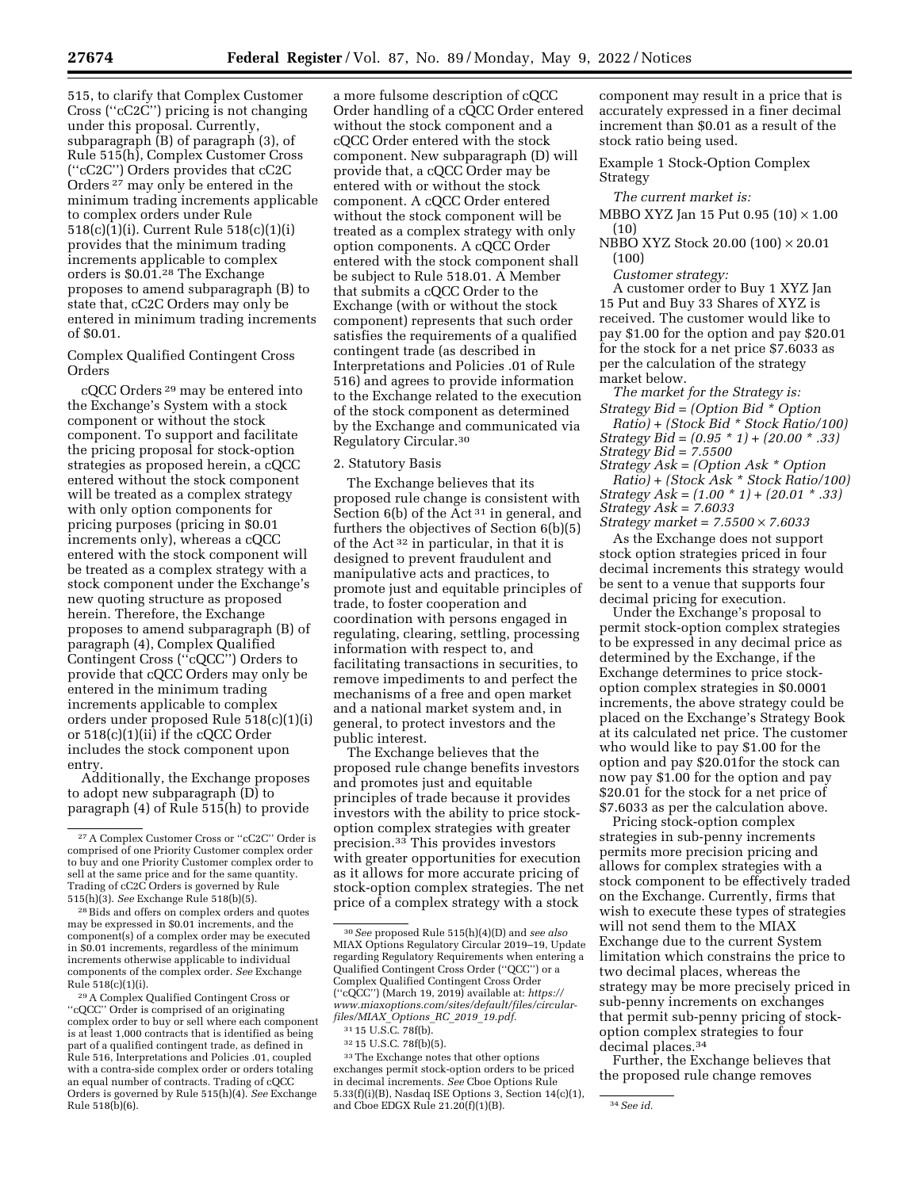515, to clarify that Complex Customer Cross (''cC2C'') pricing is not changing under this proposal. Currently, subparagraph (B) of paragraph (3), of Rule 515(h), Complex Customer Cross (''cC2C'') Orders provides that cC2C Orders 27 may only be entered in the minimum trading increments applicable to complex orders under Rule 518(c)(1)(i). Current Rule 518(c)(1)(i) provides that the minimum trading increments applicable to complex orders is \$0.01.28 The Exchange proposes to amend subparagraph (B) to state that, cC2C Orders may only be entered in minimum trading increments of \$0.01.

Complex Qualified Contingent Cross Orders

cQCC Orders 29 may be entered into the Exchange's System with a stock component or without the stock component. To support and facilitate the pricing proposal for stock-option strategies as proposed herein, a cQCC entered without the stock component will be treated as a complex strategy with only option components for pricing purposes (pricing in \$0.01 increments only), whereas a cQCC entered with the stock component will be treated as a complex strategy with a stock component under the Exchange's new quoting structure as proposed herein. Therefore, the Exchange proposes to amend subparagraph (B) of paragraph (4), Complex Qualified Contingent Cross (''cQCC'') Orders to provide that cQCC Orders may only be entered in the minimum trading increments applicable to complex orders under proposed Rule 518(c)(1)(i) or 518(c)(1)(ii) if the cQCC Order includes the stock component upon entry.

Additionally, the Exchange proposes to adopt new subparagraph (D) to paragraph (4) of Rule 515(h) to provide

28Bids and offers on complex orders and quotes may be expressed in \$0.01 increments, and the component(s) of a complex order may be executed in \$0.01 increments, regardless of the minimum increments otherwise applicable to individual components of the complex order. *See* Exchange Rule 518(c)(1)(i).

29A Complex Qualified Contingent Cross or ''cQCC'' Order is comprised of an originating complex order to buy or sell where each component is at least 1,000 contracts that is identified as being part of a qualified contingent trade, as defined in Rule 516, Interpretations and Policies .01, coupled with a contra-side complex order or orders totaling an equal number of contracts. Trading of cQCC Orders is governed by Rule 515(h)(4). *See* Exchange Rule 518(b)(6).

a more fulsome description of cQCC Order handling of a cQCC Order entered without the stock component and a cQCC Order entered with the stock component. New subparagraph (D) will provide that, a cQCC Order may be entered with or without the stock component. A cQCC Order entered without the stock component will be treated as a complex strategy with only option components. A cQCC Order entered with the stock component shall be subject to Rule 518.01. A Member that submits a cQCC Order to the Exchange (with or without the stock component) represents that such order satisfies the requirements of a qualified contingent trade (as described in Interpretations and Policies .01 of Rule 516) and agrees to provide information to the Exchange related to the execution of the stock component as determined by the Exchange and communicated via Regulatory Circular.30

#### 2. Statutory Basis

The Exchange believes that its proposed rule change is consistent with Section  $6(b)$  of the Act<sup>31</sup> in general, and furthers the objectives of Section 6(b)(5) of the Act 32 in particular, in that it is designed to prevent fraudulent and manipulative acts and practices, to promote just and equitable principles of trade, to foster cooperation and coordination with persons engaged in regulating, clearing, settling, processing information with respect to, and facilitating transactions in securities, to remove impediments to and perfect the mechanisms of a free and open market and a national market system and, in general, to protect investors and the public interest.

The Exchange believes that the proposed rule change benefits investors and promotes just and equitable principles of trade because it provides investors with the ability to price stockoption complex strategies with greater precision.33 This provides investors with greater opportunities for execution as it allows for more accurate pricing of stock-option complex strategies. The net price of a complex strategy with a stock

32 15 U.S.C. 78f(b)(5).

 $^{\rm 33}\rm{The}$  Exchange notes that other options exchanges permit stock-option orders to be priced in decimal increments. *See* Cboe Options Rule 5.33(f)(i)(B), Nasdaq ISE Options 3, Section 14(c)(1), and Cboe EDGX Rule 21.20(f)(1)(B). 34*See id.* 

component may result in a price that is accurately expressed in a finer decimal increment than \$0.01 as a result of the stock ratio being used.

Example 1 Stock-Option Complex Strategy

*The current market is:* 

MBBO XYZ Jan 15 Put 0.95  $(10) \times 1.00$ (10)

NBBO XYZ Stock 20.00 (100) × 20.01 (100)

*Customer strategy:* 

A customer order to Buy 1 XYZ Jan 15 Put and Buy 33 Shares of XYZ is received. The customer would like to pay \$1.00 for the option and pay \$20.01 for the stock for a net price \$7.6033 as per the calculation of the strategy market below.

*The market for the Strategy is:* 

*Strategy Bid = (Option Bid \* Option Ratio) + (Stock Bid \* Stock Ratio/100) Strategy Bid = (0.95 \* 1) + (20.00 \* .33)* 

*Strategy Bid = 7.5500* 

*Strategy Ask = (Option Ask \* Option* 

*Ratio) + (Stock Ask \* Stock Ratio/100) Strategy Ask = (1.00 \* 1) + (20.01 \* .33) Strategy Ask = 7.6033* 

*Strategy market = 7.5500* × *7.6033*  As the Exchange does not support stock option strategies priced in four decimal increments this strategy would be sent to a venue that supports four decimal pricing for execution.

Under the Exchange's proposal to permit stock-option complex strategies to be expressed in any decimal price as determined by the Exchange, if the Exchange determines to price stockoption complex strategies in \$0.0001 increments, the above strategy could be placed on the Exchange's Strategy Book at its calculated net price. The customer who would like to pay \$1.00 for the option and pay \$20.01for the stock can now pay \$1.00 for the option and pay \$20.01 for the stock for a net price of \$7.6033 as per the calculation above.

Pricing stock-option complex strategies in sub-penny increments permits more precision pricing and allows for complex strategies with a stock component to be effectively traded on the Exchange. Currently, firms that wish to execute these types of strategies will not send them to the MIAX Exchange due to the current System limitation which constrains the price to two decimal places, whereas the strategy may be more precisely priced in sub-penny increments on exchanges that permit sub-penny pricing of stockoption complex strategies to four decimal places.34

Further, the Exchange believes that the proposed rule change removes

<sup>27</sup>A Complex Customer Cross or ''cC2C'' Order is comprised of one Priority Customer complex order to buy and one Priority Customer complex order to sell at the same price and for the same quantity. Trading of cC2C Orders is governed by Rule 515(h)(3). *See* Exchange Rule 518(b)(5).

<sup>30</sup>*See* proposed Rule 515(h)(4)(D) and *see also*  MIAX Options Regulatory Circular 2019–19, Update regarding Regulatory Requirements when entering a Qualified Contingent Cross Order (''QCC'') or a Complex Qualified Contingent Cross Order (''cQCC'') (March 19, 2019) available at: *[https://](https://www.miaxoptions.com/sites/default/files/circular-files/MIAX_Options_RC_2019_19.pdf) [www.miaxoptions.com/sites/default/files/circular](https://www.miaxoptions.com/sites/default/files/circular-files/MIAX_Options_RC_2019_19.pdf)[files/MIAX](https://www.miaxoptions.com/sites/default/files/circular-files/MIAX_Options_RC_2019_19.pdf)*\_*Options*\_*RC*\_*2019*\_*19.pdf.* 

<sup>31</sup> 15 U.S.C. 78f(b).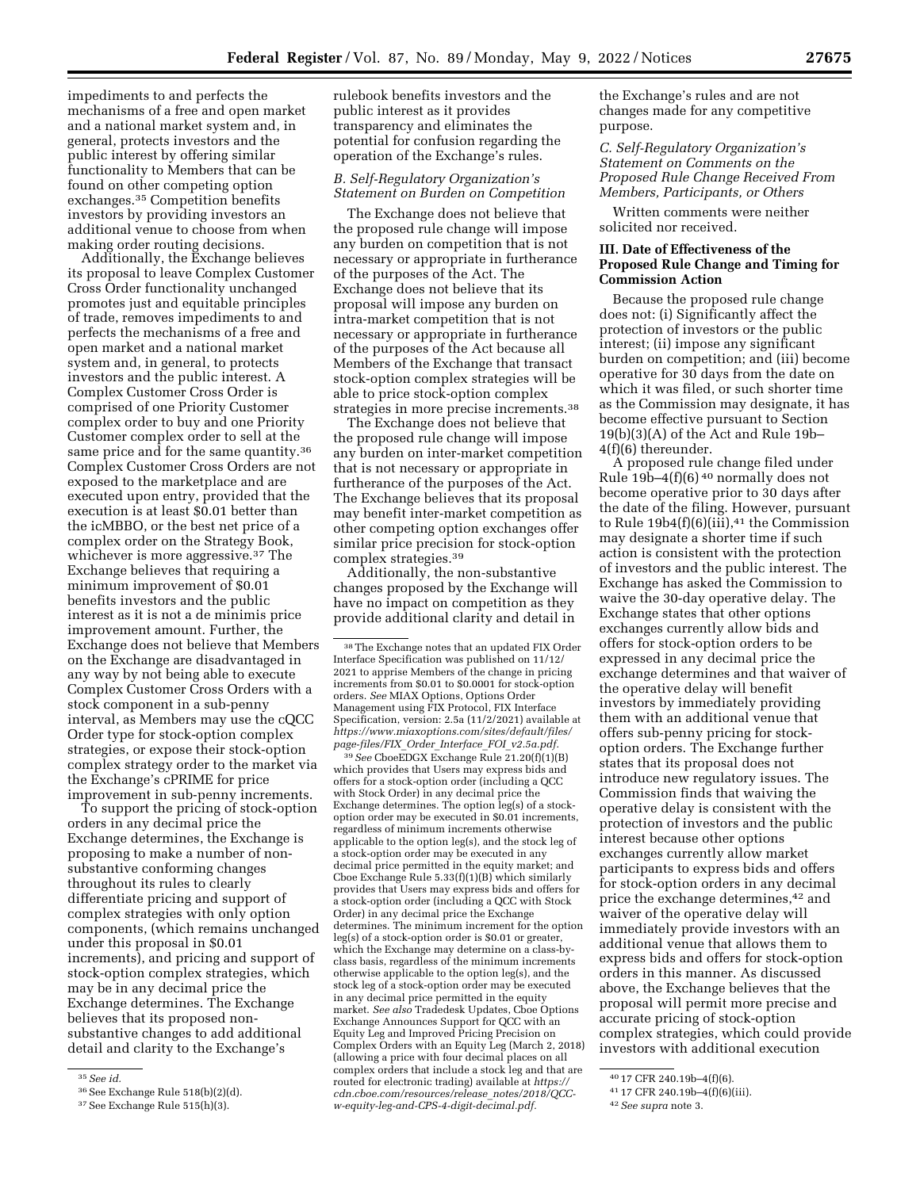impediments to and perfects the mechanisms of a free and open market and a national market system and, in general, protects investors and the public interest by offering similar functionality to Members that can be found on other competing option exchanges.35 Competition benefits investors by providing investors an additional venue to choose from when making order routing decisions.

Additionally, the Exchange believes its proposal to leave Complex Customer Cross Order functionality unchanged promotes just and equitable principles of trade, removes impediments to and perfects the mechanisms of a free and open market and a national market system and, in general, to protects investors and the public interest. A Complex Customer Cross Order is comprised of one Priority Customer complex order to buy and one Priority Customer complex order to sell at the same price and for the same quantity.36 Complex Customer Cross Orders are not exposed to the marketplace and are executed upon entry, provided that the execution is at least \$0.01 better than the icMBBO, or the best net price of a complex order on the Strategy Book, whichever is more aggressive.37 The Exchange believes that requiring a minimum improvement of \$0.01 benefits investors and the public interest as it is not a de minimis price improvement amount. Further, the Exchange does not believe that Members on the Exchange are disadvantaged in any way by not being able to execute Complex Customer Cross Orders with a stock component in a sub-penny interval, as Members may use the cQCC Order type for stock-option complex strategies, or expose their stock-option complex strategy order to the market via the Exchange's cPRIME for price improvement in sub-penny increments.

To support the pricing of stock-option orders in any decimal price the Exchange determines, the Exchange is proposing to make a number of nonsubstantive conforming changes throughout its rules to clearly differentiate pricing and support of complex strategies with only option components, (which remains unchanged under this proposal in \$0.01 increments), and pricing and support of stock-option complex strategies, which may be in any decimal price the Exchange determines. The Exchange believes that its proposed nonsubstantive changes to add additional detail and clarity to the Exchange's

rulebook benefits investors and the public interest as it provides transparency and eliminates the potential for confusion regarding the operation of the Exchange's rules.

### *B. Self-Regulatory Organization's Statement on Burden on Competition*

The Exchange does not believe that the proposed rule change will impose any burden on competition that is not necessary or appropriate in furtherance of the purposes of the Act. The Exchange does not believe that its proposal will impose any burden on intra-market competition that is not necessary or appropriate in furtherance of the purposes of the Act because all Members of the Exchange that transact stock-option complex strategies will be able to price stock-option complex strategies in more precise increments.38

The Exchange does not believe that the proposed rule change will impose any burden on inter-market competition that is not necessary or appropriate in furtherance of the purposes of the Act. The Exchange believes that its proposal may benefit inter-market competition as other competing option exchanges offer similar price precision for stock-option complex strategies.39

Additionally, the non-substantive changes proposed by the Exchange will have no impact on competition as they provide additional clarity and detail in

39*See* CboeEDGX Exchange Rule 21.20(f)(1)(B) which provides that Users may express bids and offers for a stock-option order (including a QCC with Stock Order) in any decimal price the Exchange determines. The option leg(s) of a stockoption order may be executed in \$0.01 increments, regardless of minimum increments otherwise applicable to the option leg(s), and the stock leg of a stock-option order may be executed in any decimal price permitted in the equity market; and Cboe Exchange Rule 5.33(f)(1)(B) which similarly provides that Users may express bids and offers for a stock-option order (including a QCC with Stock Order) in any decimal price the Exchange determines. The minimum increment for the option leg(s) of a stock-option order is \$0.01 or greater, which the Exchange may determine on a class-byclass basis, regardless of the minimum increments otherwise applicable to the option leg(s), and the stock leg of a stock-option order may be executed in any decimal price permitted in the equity market. *See also* Tradedesk Updates, Cboe Options Exchange Announces Support for QCC with an Equity Leg and Improved Pricing Precision on Complex Orders with an Equity Leg (March 2, 2018) (allowing a price with four decimal places on all complex orders that include a stock leg and that are routed for electronic trading) available at *[https://](https://cdn.cboe.com/resources/release_notes/2018/QCC-w-equity-leg-and-CPS-4-digit-decimal.pdf) [cdn.cboe.com/resources/release](https://cdn.cboe.com/resources/release_notes/2018/QCC-w-equity-leg-and-CPS-4-digit-decimal.pdf)*\_*notes/2018/QCC[w-equity-leg-and-CPS-4-digit-decimal.pdf.](https://cdn.cboe.com/resources/release_notes/2018/QCC-w-equity-leg-and-CPS-4-digit-decimal.pdf)* 

the Exchange's rules and are not changes made for any competitive purpose.

*C. Self-Regulatory Organization's Statement on Comments on the Proposed Rule Change Received From Members, Participants, or Others* 

Written comments were neither solicited nor received.

### **III. Date of Effectiveness of the Proposed Rule Change and Timing for Commission Action**

Because the proposed rule change does not: (i) Significantly affect the protection of investors or the public interest; (ii) impose any significant burden on competition; and (iii) become operative for 30 days from the date on which it was filed, or such shorter time as the Commission may designate, it has become effective pursuant to Section 19(b)(3)(A) of the Act and Rule 19b– 4(f)(6) thereunder.

A proposed rule change filed under Rule  $19b-4(f)(6)$ <sup>40</sup> normally does not become operative prior to 30 days after the date of the filing. However, pursuant to Rule  $19b4(f)(6)(iii)$ , <sup>41</sup> the Commission may designate a shorter time if such action is consistent with the protection of investors and the public interest. The Exchange has asked the Commission to waive the 30-day operative delay. The Exchange states that other options exchanges currently allow bids and offers for stock-option orders to be expressed in any decimal price the exchange determines and that waiver of the operative delay will benefit investors by immediately providing them with an additional venue that offers sub-penny pricing for stockoption orders. The Exchange further states that its proposal does not introduce new regulatory issues. The Commission finds that waiving the operative delay is consistent with the protection of investors and the public interest because other options exchanges currently allow market participants to express bids and offers for stock-option orders in any decimal price the exchange determines,42 and waiver of the operative delay will immediately provide investors with an additional venue that allows them to express bids and offers for stock-option orders in this manner. As discussed above, the Exchange believes that the proposal will permit more precise and accurate pricing of stock-option complex strategies, which could provide investors with additional execution

<sup>35</sup>*See id.* 

<sup>36</sup>See Exchange Rule 518(b)(2)(d).

<sup>37</sup>See Exchange Rule 515(h)(3).

<sup>38</sup>The Exchange notes that an updated FIX Order Interface Specification was published on 11/12/ 2021 to apprise Members of the change in pricing increments from \$0.01 to \$0.0001 for stock-option orders. *See* MIAX Options, Options Order Management using FIX Protocol, FIX Interface Specification, version: 2.5a (11/2/2021) available at *[https://www.miaxoptions.com/sites/default/files/](https://www.miaxoptions.com/sites/default/files/page-files/FIX_Order_Interface_FOI_v2.5a.pdf)  [page-files/FIX](https://www.miaxoptions.com/sites/default/files/page-files/FIX_Order_Interface_FOI_v2.5a.pdf)*\_*Order*\_*Interface*\_*FOI*\_*v2.5a.pdf.* 

<sup>40</sup> 17 CFR 240.19b–4(f)(6).

<sup>41</sup> 17 CFR 240.19b–4(f)(6)(iii).

<sup>42</sup>*See supra* note 3.